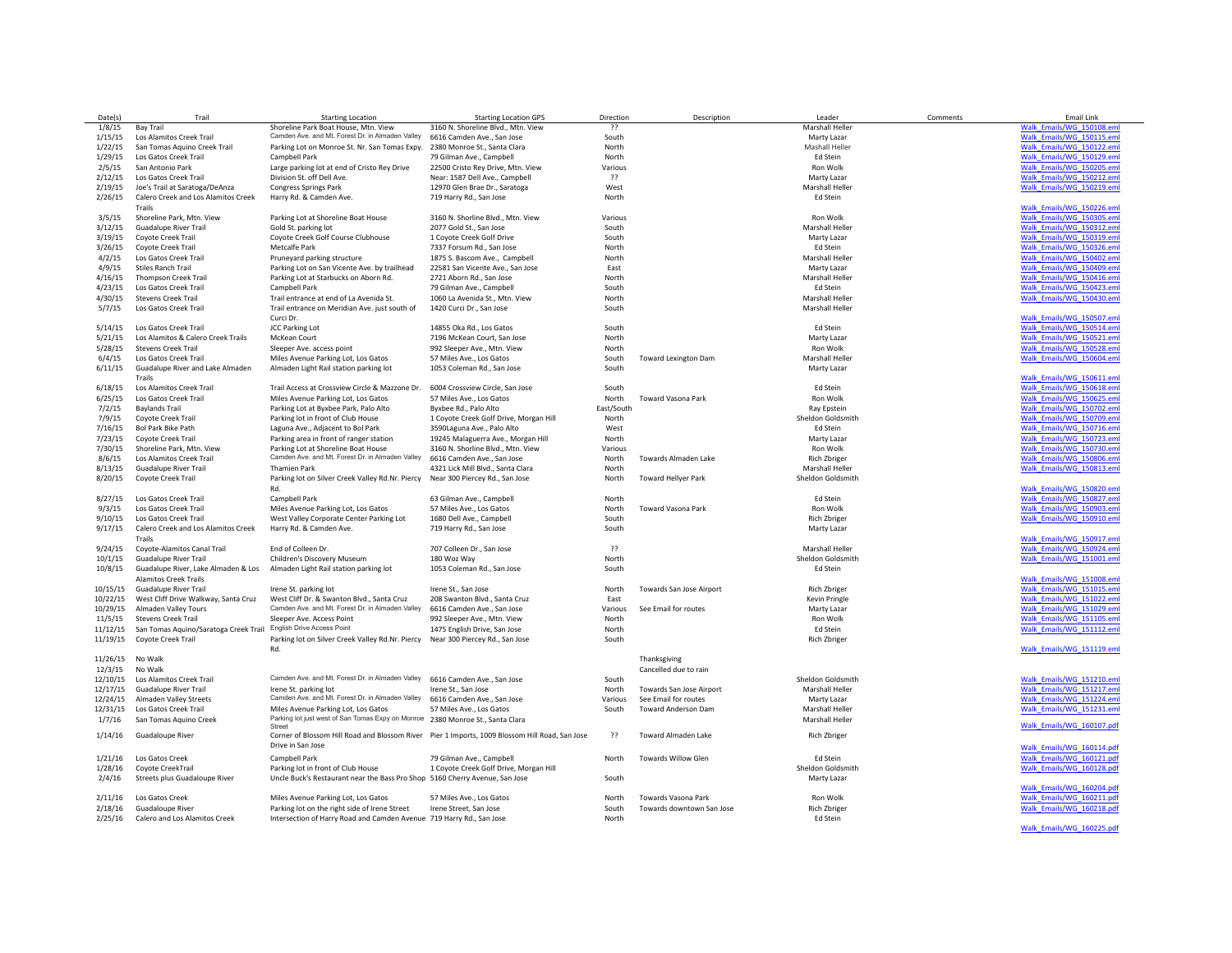| Date(s)                                                       | Trail                                             | <b>Starting Location</b>                                                                                              | <b>Starting Location GPS</b>                                                                   | Direction      | Description                 | Leader                          | Comments | <b>Email Link</b>         |
|---------------------------------------------------------------|---------------------------------------------------|-----------------------------------------------------------------------------------------------------------------------|------------------------------------------------------------------------------------------------|----------------|-----------------------------|---------------------------------|----------|---------------------------|
| 1/8/15                                                        | <b>Bay Trail</b>                                  | Shoreline Park Boat House, Mtn. View                                                                                  | 3160 N. Shoreline Blvd., Mtn. View                                                             | $\overline{?}$ |                             | Marshall Heller                 |          | Walk Emails/WG 150108.eml |
| 1/15/15                                                       | Los Alamitos Creek Trail                          | Camden Ave. and Mt. Forest Dr. in Almaden Valley                                                                      | 6616 Camden Ave., San Jose                                                                     | South          |                             | Marty Lazar                     |          | Walk Emails/WG 150115.eml |
| 1/22/15                                                       | San Tomas Aquino Creek Trail                      | Parking Lot on Monroe St. Nr. San Tomas Expy.                                                                         | 2380 Monroe St., Santa Clara                                                                   | North          |                             | Mashall Heller                  |          | Walk_Emails/WG_150122.eml |
| 1/29/15                                                       | Los Gatos Creek Trail                             | Campbell Park                                                                                                         | 79 Gilman Ave., Campbell                                                                       | North          |                             | Ed Stein                        |          | Walk Emails/WG 150129.eml |
| 2/5/15                                                        | San Antonio Park                                  |                                                                                                                       | 22500 Cristo Rey Drive, Mtn. View                                                              | Various        |                             | Ron Wolk                        |          | Walk Emails/WG 150205.eml |
|                                                               |                                                   | Large parking lot at end of Cristo Rey Drive                                                                          |                                                                                                |                |                             |                                 |          |                           |
| 2/12/15                                                       | Los Gatos Creek Trail                             | Division St. off Dell Ave.                                                                                            | Near: 1587 Dell Ave., Campbell                                                                 | ??             |                             | Marty Lazar                     |          | Walk Emails/WG 150212.eml |
| 2/19/15                                                       | Joe's Trail at Saratoga/DeAnza                    | Congress Springs Park                                                                                                 | 12970 Glen Brae Dr., Saratoga                                                                  | West           |                             | Marshall Heller                 |          | Walk Emails/WG 150219.eml |
| 2/26/15                                                       | Calero Creek and Los Alamitos Creek               | Harry Rd. & Camden Ave.                                                                                               | 719 Harry Rd., San Jose                                                                        | North          |                             | Ed Stein                        |          |                           |
|                                                               | Trails                                            |                                                                                                                       |                                                                                                |                |                             |                                 |          | Walk_Emails/WG_150226.eml |
| 3/5/15                                                        | Shoreline Park, Mtn. View                         | Parking Lot at Shoreline Boat House                                                                                   | 3160 N. Shorline Blvd., Mtn. View                                                              | Various        |                             | Ron Wolk                        |          | Walk_Emails/WG_150305.eml |
| 3/12/15                                                       | Guadalupe River Trail                             | Gold St. parking lot                                                                                                  | 2077 Gold St., San Jose                                                                        | South          |                             | Marshall Heller                 |          | Walk Emails/WG 150312.eml |
| 3/19/15                                                       | Coyote Creek Trail                                | Coyote Creek Golf Course Clubhouse                                                                                    | 1 Coyote Creek Golf Drive                                                                      | South          |                             | Marty Lazar                     |          | Walk Emails/WG 150319.eml |
| 3/26/15                                                       | Coyote Creek Trail                                | Metcalfe Park                                                                                                         | 7337 Forsum Rd., San Jose                                                                      | North          |                             | Ed Stein                        |          | Walk Emails/WG 150326.eml |
| 4/2/15                                                        | Los Gatos Creek Trail                             | Pruneyard parking structure                                                                                           | 1875 S. Bascom Ave., Campbell                                                                  | North          |                             | Marshall Heller                 |          | Walk_Emails/WG_150402.eml |
| 4/9/15                                                        | <b>Stiles Ranch Trail</b>                         | Parking Lot on San Vicente Ave. by trailhead                                                                          | 22581 San Vicente Ave., San Jose                                                               | East           |                             | Marty Lazar                     |          | Walk Emails/WG 150409.eml |
| 4/16/15                                                       | <b>Thompson Creek Trail</b>                       | Parking Lot at Starbucks on Aborn Rd.                                                                                 | 2721 Aborn Rd., San Jose                                                                       | North          |                             | Marshall Heller                 |          | Walk Emails/WG 150416.eml |
| 4/23/15                                                       | Los Gatos Creek Trail                             | Campbell Park                                                                                                         | 79 Gilman Ave., Campbell                                                                       | South          |                             | Ed Stein                        |          | Walk Emails/WG 150423.eml |
| 4/30/15                                                       | <b>Stevens Creek Trail</b>                        | Trail entrance at end of La Avenida St.                                                                               | 1060 La Avenida St., Mtn. View                                                                 | North          |                             | Marshall Heller                 |          | Walk_Emails/WG_150430.eml |
| 5/7/15                                                        | Los Gatos Creek Trail                             | Trail entrance on Meridian Ave. just south of                                                                         | 1420 Curci Dr., San Jose                                                                       | South          |                             | <b>Marshall Heller</b>          |          |                           |
|                                                               |                                                   |                                                                                                                       |                                                                                                |                |                             |                                 |          |                           |
|                                                               |                                                   | Curci Dr.                                                                                                             |                                                                                                |                |                             |                                 |          | Walk_Emails/WG_150507.eml |
| 5/14/15                                                       | Los Gatos Creek Trail                             | <b>JCC Parking Lot</b>                                                                                                | 14855 Oka Rd., Los Gatos                                                                       | South          |                             | Ed Stein                        |          | Walk Emails/WG 150514.eml |
| 5/21/15                                                       | Los Alamitos & Calero Creek Trails                | McKean Court                                                                                                          | 7196 McKean Court, San Jose                                                                    | North          |                             | Marty Lazar                     |          | Walk Emails/WG 150521.eml |
| 5/28/15                                                       | <b>Stevens Creek Trail</b>                        | Sleeper Ave. access point                                                                                             | 992 Sleeper Ave., Mtn. View                                                                    | North          |                             | Ron Wolk                        |          | Walk_Emails/WG_150528.eml |
| 6/4/15                                                        | Los Gatos Creek Trail                             | Miles Avenue Parking Lot, Los Gatos                                                                                   | 57 Miles Ave., Los Gatos                                                                       | South          | <b>Toward Lexington Dam</b> | <b>Marshall Heller</b>          |          | Walk Emails/WG 150604.eml |
| 6/11/15                                                       | Guadalupe River and Lake Almaden                  | Almaden Light Rail station parking lot                                                                                | 1053 Coleman Rd., San Jose                                                                     | South          |                             | Marty Lazar                     |          |                           |
|                                                               | Trails                                            |                                                                                                                       |                                                                                                |                |                             |                                 |          | Walk_Emails/WG_150611.eml |
| 6/18/15                                                       | Los Alamitos Creek Trail                          | Trail Access at Crossview Circle & Mazzone Dr.                                                                        | 6004 Crossview Circle, San Jose                                                                | South          |                             | Ed Stein                        |          | Walk_Emails/WG_150618.eml |
| 6/25/15                                                       | Los Gatos Creek Trail                             | Miles Avenue Parking Lot, Los Gatos                                                                                   | 57 Miles Ave., Los Gatos                                                                       | North          | Toward Vasona Park          | Ron Wolk                        |          | Walk Emails/WG 150625.eml |
| 7/2/15                                                        | <b>Baylands Trail</b>                             | Parking Lot at Byxbee Park, Palo Alto                                                                                 | Byxbee Rd., Palo Alto                                                                          | East/South     |                             | Ray Epstein                     |          | Walk Emails/WG 150702.eml |
| 7/9/15                                                        | Covote Creek Trail                                | Parking lot in front of Club House                                                                                    | 1 Coyote Creek Golf Drive, Morgan Hill                                                         | North          |                             | Sheldon Goldsmith               |          | Walk Emails/WG 150709.eml |
|                                                               | <b>Bol Park Bike Path</b>                         |                                                                                                                       |                                                                                                |                |                             |                                 |          | Walk_Emails/WG_150716.eml |
| 7/16/15                                                       |                                                   | Laguna Ave., Adjacent to Bol Park                                                                                     | 3590Laguna Ave., Palo Alto                                                                     | West           |                             | Ed Stein                        |          |                           |
| 7/23/15                                                       | Coyote Creek Trail                                | Parking area in front of ranger station                                                                               | 19245 Malaguerra Ave., Morgan Hill                                                             | North          |                             | Marty Lazar                     |          | Walk Emails/WG 150723.eml |
| 7/30/15                                                       | Shoreline Park, Mtn. View                         | Parking Lot at Shoreline Boat House                                                                                   | 3160 N. Shorline Blvd., Mtn. View                                                              | Various        |                             | Ron Wolk                        |          | Walk_Emails/WG_150730.eml |
| 8/6/15                                                        | Los Alamitos Creek Trail                          | Camden Ave. and Mt. Forest Dr. in Almaden Valley                                                                      | 6616 Camden Ave., San Jose                                                                     | North          | Towards Almaden Lake        | <b>Rich Zbriger</b>             |          | Walk_Emails/WG_150806.eml |
| 8/13/15                                                       | Guadalupe River Trail                             | <b>Thamien Park</b>                                                                                                   | 4321 Lick Mill Blvd., Santa Clara                                                              | North          |                             | Marshall Heller                 |          | Walk Emails/WG 150813.eml |
| 8/20/15                                                       | Coyote Creek Trail                                | Parking lot on Silver Creek Valley Rd.Nr. Piercy                                                                      | Near 300 Piercey Rd., San Jose                                                                 | North          | Toward Hellyer Park         | Sheldon Goldsmith               |          |                           |
|                                                               |                                                   | Rd.                                                                                                                   |                                                                                                |                |                             |                                 |          | Walk Emails/WG 150820.eml |
| 8/27/15                                                       | Los Gatos Creek Trail                             | Campbell Park                                                                                                         | 63 Gilman Ave., Campbell                                                                       | North          |                             | Ed Stein                        |          | Walk Emails/WG 150827.eml |
| 9/3/15                                                        | Los Gatos Creek Trail                             | Miles Avenue Parking Lot, Los Gatos                                                                                   | 57 Miles Ave., Los Gatos                                                                       | North          | Toward Vasona Park          | Ron Wolk                        |          | Walk Emails/WG 150903.eml |
| 9/10/15                                                       | Los Gatos Creek Trail                             | West Valley Corporate Center Parking Lot                                                                              | 1680 Dell Ave., Campbell                                                                       | South          |                             | <b>Rich Zbriger</b>             |          | Walk_Emails/WG_150910.eml |
| 9/17/15                                                       | Calero Creek and Los Alamitos Creek               | Harry Rd. & Camden Ave.                                                                                               | 719 Harry Rd., San Jose                                                                        | South          |                             | Marty Lazar                     |          |                           |
|                                                               | Trails                                            |                                                                                                                       |                                                                                                |                |                             |                                 |          | Walk Emails/WG 150917.eml |
| 9/24/15                                                       | Coyote-Alamitos Canal Trail                       | End of Colleen Dr.                                                                                                    | 707 Colleen Dr., San Jose                                                                      | ??             |                             | <b>Marshall Heller</b>          |          | Walk Emails/WG 150924.eml |
|                                                               |                                                   |                                                                                                                       |                                                                                                |                |                             |                                 |          |                           |
| 10/1/15                                                       | <b>Guadalupe River Trail</b>                      | Children's Discovery Museum                                                                                           | 180 Woz Way                                                                                    | North          |                             | Sheldon Goldsmith               |          | Walk Emails/WG 151001.eml |
| 10/8/15                                                       | Guadalupe River, Lake Almaden & Los               | Almaden Light Rail station parking lot                                                                                | 1053 Coleman Rd., San Jose                                                                     | South          |                             | Ed Stein                        |          |                           |
|                                                               | <b>Alamitos Creek Trails</b>                      |                                                                                                                       |                                                                                                |                |                             |                                 |          | Walk_Emails/WG_151008.eml |
| 10/15/15                                                      | Guadalupe River Trail                             | Irene St. parking lot                                                                                                 | Irene St., San Jose                                                                            | North          | Towards San Jose Airport    | <b>Rich Zbriger</b>             |          | Walk_Emails/WG_151015.eml |
| 10/22/15                                                      | West Cliff Drive Walkway, Santa Cruz              | West Cliff Dr. & Swanton Blvd., Santa Cruz                                                                            | 208 Swanton Blvd., Santa Cruz                                                                  | East           |                             | Kevin Pringle                   |          | Walk Emails/WG 151022.eml |
| 10/29/15                                                      | Almaden Valley Tours                              | Camden Ave. and Mt. Forest Dr. in Almaden Valley                                                                      | 6616 Camden Ave., San Jose                                                                     | Various        | See Email for routes        | Marty Lazar                     |          | Walk Emails/WG 151029.eml |
| 11/5/15                                                       | <b>Stevens Creek Trail</b>                        | Sleeper Ave. Access Point                                                                                             | 992 Sleeper Ave., Mtn. View                                                                    | North          |                             | Ron Wolk                        |          | Walk Emails/WG 151105.eml |
| 11/12/15                                                      | San Tomas Aquino/Saratoga Creek Trail             | <b>English Drive Access Point</b>                                                                                     | 1475 English Drive, San Jose                                                                   | North          |                             | Ed Stein                        |          | Walk_Emails/WG_151112.eml |
| 11/19/15                                                      | Coyote Creek Trail                                | Parking lot on Silver Creek Valley Rd.Nr. Piercy                                                                      | Near 300 Piercey Rd., San Jose                                                                 | South          |                             | <b>Rich Zbriger</b>             |          |                           |
|                                                               |                                                   | Rd.                                                                                                                   |                                                                                                |                |                             |                                 |          | Walk Emails/WG 151119.eml |
| 11/26/15                                                      | No Walk                                           |                                                                                                                       |                                                                                                |                | Thanksgiving                |                                 |          |                           |
|                                                               | No Walk                                           |                                                                                                                       |                                                                                                |                |                             |                                 |          |                           |
| 12/3/15                                                       |                                                   | Camden Ave. and Mt. Forest Dr. in Almaden Valley                                                                      |                                                                                                |                | Cancelled due to rain       |                                 |          |                           |
| 12/10/15                                                      | Los Alamitos Creek Trail                          |                                                                                                                       | 6616 Camden Ave., San Jose                                                                     | South          |                             | Sheldon Goldsmith               |          | Walk Emails/WG 151210.eml |
| 12/17/15                                                      | Guadalupe River Trail                             | Irene St. parking lot                                                                                                 | Irene St., San Jose                                                                            | North          | Towards San Jose Airport    | Marshall Heller                 |          | Walk_Emails/WG_151217.eml |
| 12/24/15                                                      | Almaden Valley Streets                            | Camden Ave. and Mt. Forest Dr. in Almaden Valley                                                                      | 6616 Camden Ave., San Jose                                                                     | Various        | See Email for routes        | Marty Lazar                     |          | Walk_Emails/WG_151224.eml |
| 12/31/15                                                      | Los Gatos Creek Trail                             | Miles Avenue Parking Lot, Los Gatos                                                                                   | 57 Miles Ave., Los Gatos                                                                       | South          | <b>Toward Anderson Dam</b>  | Marshall Heller                 |          | Walk Emails/WG 151231.eml |
| 1/7/16                                                        | San Tomas Aquino Creek                            | Parking lot just west of San Tomas Expy on Monroe 2380 Monroe St., Santa Clara                                        |                                                                                                |                |                             | Marshall Heller                 |          |                           |
|                                                               |                                                   |                                                                                                                       |                                                                                                |                |                             |                                 |          | Walk_Emails/WG_160107.pdf |
| 1/14/16                                                       | Guadaloupe River                                  |                                                                                                                       | Corner of Blossom Hill Road and Blossom River Pier 1 Imports, 1009 Blossom Hill Road, San Jose | ??             | Toward Almaden Lake         | <b>Rich Zbriger</b>             |          |                           |
|                                                               |                                                   | Drive in San Jose                                                                                                     |                                                                                                |                |                             |                                 |          | Walk Emails/WG 160114.pdf |
|                                                               | Los Gatos Creek                                   | Campbell Park                                                                                                         | 79 Gilman Ave., Campbell                                                                       | North          | <b>Towards Willow Glen</b>  | Ed Stein                        |          | Walk Emails/WG 160121.pdf |
|                                                               |                                                   | Parking lot in front of Club House                                                                                    | 1 Coyote Creek Golf Drive, Morgan Hill                                                         |                |                             | Sheldon Goldsmith               |          | Walk Emails/WG 160128.pdf |
|                                                               |                                                   |                                                                                                                       |                                                                                                | South          |                             | Marty Lazar                     |          |                           |
|                                                               | Coyote CreekTrail                                 |                                                                                                                       |                                                                                                |                |                             |                                 |          |                           |
|                                                               | Streets plus Guadaloupe River                     | Uncle Buck's Restaurant near the Bass Pro Shop 5160 Cherry Avenue, San Jose                                           |                                                                                                |                |                             |                                 |          |                           |
|                                                               |                                                   |                                                                                                                       |                                                                                                |                |                             |                                 |          | Walk Emails/WG 160204.pdf |
|                                                               | Los Gatos Creek                                   | Miles Avenue Parking Lot, Los Gatos                                                                                   | 57 Miles Ave., Los Gatos                                                                       | North          | Towards Vasona Park         | Ron Wolk                        |          | Walk Emails/WG 160211.pdf |
| 1/21/16<br>1/28/16<br>2/4/16<br>2/11/16<br>2/18/16<br>2/25/16 | Guadaloupe River<br>Calero and Los Alamitos Creek | Parking lot on the right side of Irene Street<br>Intersection of Harry Road and Camden Avenue 719 Harry Rd., San Jose | Irene Street, San Jose                                                                         | South<br>North | Towards downtown San Jose   | <b>Rich Zbriger</b><br>Ed Stein |          | Walk Emails/WG 160218.pdf |